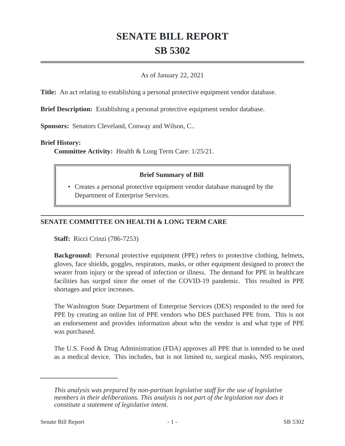# **SENATE BILL REPORT SB 5302**

### As of January 22, 2021

**Title:** An act relating to establishing a personal protective equipment vendor database.

**Brief Description:** Establishing a personal protective equipment vendor database.

**Sponsors:** Senators Cleveland, Conway and Wilson, C..

#### **Brief History:**

**Committee Activity:** Health & Long Term Care: 1/25/21.

## **Brief Summary of Bill**

• Creates a personal protective equipment vendor database managed by the Department of Enterprise Services.

# **SENATE COMMITTEE ON HEALTH & LONG TERM CARE**

**Staff:** Ricci Crinzi (786-7253)

**Background:** Personal protective equipment (PPE) refers to protective clothing, helmets, gloves, face shields, goggles, respirators, masks, or other equipment designed to protect the wearer from injury or the spread of infection or illness. The demand for PPE in healthcare facilities has surged since the onset of the COVID-19 pandemic. This resulted in PPE shortages and price increases.

The Washington State Department of Enterprise Services (DES) responded to the need for PPE by creating an online list of PPE vendors who DES purchased PPE from. This is not an endorsement and provides information about who the vendor is and what type of PPE was purchased.

The U.S. Food & Drug Administration (FDA) approves all PPE that is intended to be used as a medical device. This includes, but is not limited to, surgical masks, N95 respirators,

*This analysis was prepared by non-partisan legislative staff for the use of legislative members in their deliberations. This analysis is not part of the legislation nor does it constitute a statement of legislative intent.*